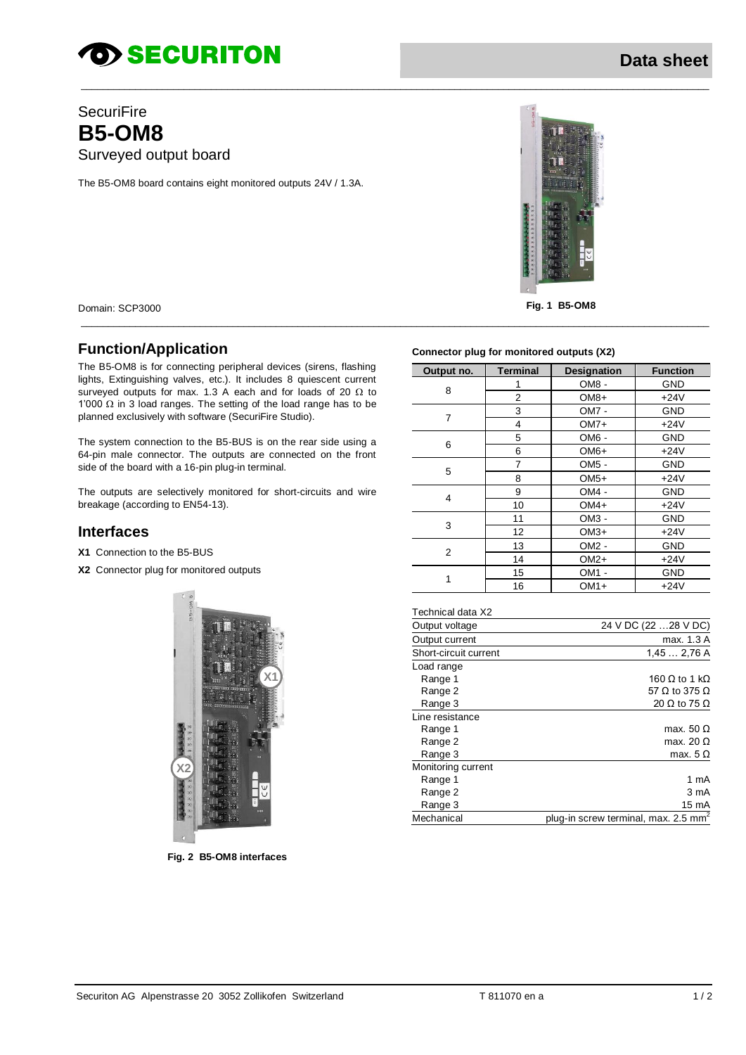# *SECURITON*

### **SecuriFire B5-OM8** Surveyed output board

The B5-OM8 board contains eight monitored outputs 24V / 1.3A.



Fig. 1 B5-OM8

Domain: SCP3000

### **Function/Application**

The B5-OM8 is for connecting peripheral devices (sirens, flashing lights, Extinguishing valves, etc.). It includes 8 quiescent current surveyed outputs for max. 1.3 A each and for loads of 20  $\Omega$  to 1'000  $\Omega$  in 3 load ranges. The setting of the load range has to be planned exclusively with software (SecuriFire Studio).

The system connection to the B5-BUS is on the rear side using a 64-pin male connector. The outputs are connected on the front side of the board with a 16-pin plug-in terminal.

The outputs are selectively monitored for short-circuits and wire breakage (according to EN54-13).

### **Interfaces**

- X1 Connection to the B5-BUS
- X2 Connector plug for monitored outputs



Fig. 2 B5-OM8 interfaces

#### Connector plug for monitored outputs (X2)

| Output no. | <b>Terminal</b> | <b>Designation</b> | <b>Function</b> |
|------------|-----------------|--------------------|-----------------|
| 8          | 1               | OM8-               | GND             |
|            | 2               | $OM8+$             | $+24V$          |
| 7          | 3               | OM7 -              | GND             |
|            | 4               | $OM7+$             | $+24V$          |
| 6          | 5               | OM6 -              | GND             |
|            | 6               | $OM6+$             | $+24V$          |
| 5          | 7               | OM <sub>5</sub> -  | GND             |
|            | 8               | $OM5+$             | $+24V$          |
| 4          | 9               | OM4-               | GND             |
|            | 10              | $OM4+$             | $+24V$          |
| 3          | 11              | OM3 -              | GND             |
|            | 12              | $OM3+$             | $+24V$          |
| 2          | 13              | $OM2 -$            | GND             |
|            | 14              | $OM2+$             | $+24V$          |
| 1          | 15              | $OM1 -$            | <b>GND</b>      |
|            | 16              | $OM1+$             | $+24V$          |

| Technical data X2     |                              |
|-----------------------|------------------------------|
| Output voltage        | 24 V DC (22  28 V DC)        |
| Output current        | max. 1.3 A                   |
| Short-circuit current | 1,452,76A                    |
| Load range            |                              |
| Range 1               | 160 $\Omega$ to 1 k $\Omega$ |
| Range 2               | 57 $\Omega$ to 375 $\Omega$  |
| Range 3               | 20 $\Omega$ to 75 $\Omega$   |
| Line resistance       |                              |
| Range 1               | max. 50 $\Omega$             |
| Range 2               | max. 20 $\Omega$             |
| Range 3               | max. $5 \Omega$              |
| Monitoring current    |                              |
| Range 1               | 1 mA                         |
| Range 2               | 3 mA                         |
| Range 3               | 15 mA                        |

plug-in screw terminal, max. 2.5 mm<sup>2</sup>

Mechanical